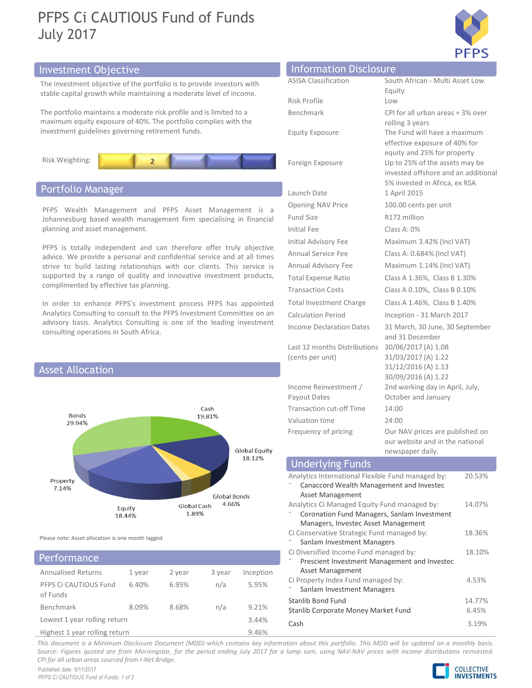# PFPS Ci CAUTIOUS Fund of Funds July 2017



# Investment Objective



# Portfolio Manager



# **Performance**

| .                             |        |        | Prescient investment ivianagement and invested |           |                                     |  |  |  |  |  |
|-------------------------------|--------|--------|------------------------------------------------|-----------|-------------------------------------|--|--|--|--|--|
| <b>Annualised Returns</b>     | 1 vear | 2 year | 3 year                                         | Inception | Asset Management                    |  |  |  |  |  |
| PFPS Ci CAUTIOUS Fund         | 6.40%  | 6.95%  | n/a                                            | 5.95%     | Ci Property Index Fund managed by:  |  |  |  |  |  |
|                               |        |        |                                                |           | Sanlam Investment Managers          |  |  |  |  |  |
| of Funds                      |        |        |                                                |           | Stanlib Bond Fund                   |  |  |  |  |  |
| Benchmark                     | 8.09%  | 8.68%  | n/a                                            | 9.21%     |                                     |  |  |  |  |  |
|                               |        |        |                                                |           | Stanlib Corporate Money Market Fund |  |  |  |  |  |
| Lowest 1 year rolling return  |        |        |                                                | 3.44%     | Cash                                |  |  |  |  |  |
| Highast 1 year rolling roturn |        |        |                                                | 0.160/    |                                     |  |  |  |  |  |

| <b>July 2017</b>                                                                                                                                                                                                                                                                                 | PFPS Ci CAUTIOUS Fund of Funds                                                                                                                |                                                                                               | <b>PFPS</b>                                                                                          |
|--------------------------------------------------------------------------------------------------------------------------------------------------------------------------------------------------------------------------------------------------------------------------------------------------|-----------------------------------------------------------------------------------------------------------------------------------------------|-----------------------------------------------------------------------------------------------|------------------------------------------------------------------------------------------------------|
| nvestment Objective                                                                                                                                                                                                                                                                              |                                                                                                                                               | <b>Information Disclosure</b>                                                                 |                                                                                                      |
|                                                                                                                                                                                                                                                                                                  | The investment objective of the portfolio is to provide investors with<br>stable capital growth while maintaining a moderate level of income. | <b>ASISA Classification</b>                                                                   | South African - Multi Asset Low<br>Equity                                                            |
|                                                                                                                                                                                                                                                                                                  | The portfolio maintains a moderate risk profile and is limited to a<br>maximum equity exposure of 40%. The portfolio complies with the        | Risk Profile<br>Benchmark                                                                     | Low<br>CPI for all urban areas + 3% over<br>rolling 3 years                                          |
| nvestment guidelines governing retirement funds.                                                                                                                                                                                                                                                 |                                                                                                                                               | <b>Equity Exposure</b>                                                                        | The Fund will have a maximum<br>effective exposure of 40% for                                        |
| Risk Weighting:                                                                                                                                                                                                                                                                                  |                                                                                                                                               | Foreign Exposure                                                                              | equity and 25% for property<br>Up to 25% of the assets may be<br>invested offshore and an additional |
| Portfolio Manager                                                                                                                                                                                                                                                                                |                                                                                                                                               | Launch Date                                                                                   | 5% invested in Africa, ex RSA<br>1 April 2015                                                        |
|                                                                                                                                                                                                                                                                                                  |                                                                                                                                               | Opening NAV Price                                                                             | 100.00 cents per unit                                                                                |
|                                                                                                                                                                                                                                                                                                  |                                                                                                                                               | Fund Size                                                                                     | R172 million                                                                                         |
| PFPS Wealth Management and PFPS Asset Management is a<br>Johannesburg based wealth management firm specialising in financial<br>planning and asset management.                                                                                                                                   |                                                                                                                                               | Initial Fee                                                                                   | Class A: 0%                                                                                          |
|                                                                                                                                                                                                                                                                                                  |                                                                                                                                               | Initial Advisory Fee                                                                          | Maximum 3.42% (Incl VAT)                                                                             |
| PFPS is totally independent and can therefore offer truly objective<br>advice. We provide a personal and confidential service and at all times<br>strive to build lasting relationships with our clients. This service is<br>supported by a range of quality and innovative investment products, |                                                                                                                                               | Annual Service Fee                                                                            | Class A: 0.684% (Incl VAT)                                                                           |
|                                                                                                                                                                                                                                                                                                  |                                                                                                                                               | Annual Advisory Fee                                                                           | Maximum 1.14% (Incl VAT)                                                                             |
|                                                                                                                                                                                                                                                                                                  |                                                                                                                                               | <b>Total Expense Ratio</b>                                                                    | Class A 1.36%, Class B 1.30%                                                                         |
| complimented by effective tax planning.                                                                                                                                                                                                                                                          |                                                                                                                                               | <b>Transaction Costs</b>                                                                      | Class A 0.10%, Class B 0.10%                                                                         |
|                                                                                                                                                                                                                                                                                                  | In order to enhance PFPS's investment process PFPS has appointed                                                                              | <b>Total Investment Charge</b>                                                                | Class A 1.46%, Class B 1.40%                                                                         |
| Analytics Consulting to consult to the PFPS Investment Committee on an<br>advisory basis. Analytics Consulting is one of the leading investment<br>consulting operations in South Africa.                                                                                                        |                                                                                                                                               | <b>Calculation Period</b>                                                                     | Inception - 31 March 2017                                                                            |
|                                                                                                                                                                                                                                                                                                  |                                                                                                                                               | Income Declaration Dates                                                                      | 31 March, 30 June, 30 September<br>and 31 December                                                   |
|                                                                                                                                                                                                                                                                                                  |                                                                                                                                               | Last 12 months Distributions                                                                  | 30/06/2017 (A) 1.08                                                                                  |
| <b>Asset Allocation</b>                                                                                                                                                                                                                                                                          |                                                                                                                                               | (cents per unit)                                                                              | 31/03/2017 (A) 1.22<br>31/12/2016 (A) 1.13<br>30/09/2016 (A) 1.22                                    |
|                                                                                                                                                                                                                                                                                                  |                                                                                                                                               | Income Reinvestment /                                                                         | 2nd working day in April, July,                                                                      |
|                                                                                                                                                                                                                                                                                                  |                                                                                                                                               | Payout Dates                                                                                  | October and January                                                                                  |
| Bonds                                                                                                                                                                                                                                                                                            | Cash<br>19.81%                                                                                                                                | <b>Transaction cut-off Time</b>                                                               | 14:00                                                                                                |
| 29.94%                                                                                                                                                                                                                                                                                           |                                                                                                                                               | Valuation time<br>Frequency of pricing                                                        | 24:00<br>Our NAV prices are published on<br>our website and in the national                          |
|                                                                                                                                                                                                                                                                                                  | Global Equity<br>18.12%                                                                                                                       | <b>Underlying Funds</b>                                                                       | newspaper daily.                                                                                     |
| Property<br>7.14%                                                                                                                                                                                                                                                                                |                                                                                                                                               | Analytics International Flexible Fund managed by:<br>Canaccord Wealth Management and Investec | 20.53%                                                                                               |
|                                                                                                                                                                                                                                                                                                  |                                                                                                                                               | Asset Management                                                                              |                                                                                                      |

# newspaper daily.

| consulting operations in South Africa.             |                               | duvisory basis. Analytics Consulting is one of the leading investment |                                                                                                                                              |                                                                                                             | Income Declaration Dates<br>31 March, 30 June, 30 September<br>and 31 December<br>30/06/2017 (A) 1.08<br>Last 12 months Distributions<br>31/03/2017 (A) 1.22<br>(cents per unit) |                     |                 |
|----------------------------------------------------|-------------------------------|-----------------------------------------------------------------------|----------------------------------------------------------------------------------------------------------------------------------------------|-------------------------------------------------------------------------------------------------------------|----------------------------------------------------------------------------------------------------------------------------------------------------------------------------------|---------------------|-----------------|
| <b>Asset Allocation</b>                            |                               |                                                                       |                                                                                                                                              |                                                                                                             |                                                                                                                                                                                  | 31/12/2016 (A) 1.13 |                 |
| Cash<br>Bonds<br>19.81%<br>29.94%                  |                               |                                                                       |                                                                                                                                              | Income Reinvestment /<br>Payout Dates<br>Transaction cut-off Time<br>Valuation time<br>Frequency of pricing | 30/09/2016 (A) 1.22<br>2nd working day in April, July,<br>October and January<br>14:00<br>24:00<br>Our NAV prices are published on<br>our website and in the national            |                     |                 |
| Global Equity<br>18.12%<br>Property<br>7.14%       |                               |                                                                       |                                                                                                                                              | newspaper daily.                                                                                            |                                                                                                                                                                                  |                     |                 |
|                                                    |                               |                                                                       | <b>Underlying Funds</b><br>Analytics International Flexible Fund managed by:<br>Canaccord Wealth Management and Investec<br>Asset Management |                                                                                                             | 20.53%                                                                                                                                                                           |                     |                 |
|                                                    | Equity<br>18.44%              | Global Cash<br>1.89%                                                  | Global Bonds<br>4.66%                                                                                                                        |                                                                                                             | Analytics Ci Managed Equity Fund managed by:<br>Coronation Fund Managers, Sanlam Investment<br>Managers, Investec Asset Management                                               |                     | 14.07%          |
| Please note: Asset allocation is one month lagged. |                               |                                                                       |                                                                                                                                              |                                                                                                             | Ci Conservative Strategic Fund managed by:<br>Sanlam Investment Managers                                                                                                         |                     | 18.36%          |
| Performance                                        |                               |                                                                       |                                                                                                                                              |                                                                                                             | Ci Diversified Income Fund managed by:<br>Prescient Investment Management and Investec                                                                                           |                     | 18.10%          |
| <b>Annualised Returns</b><br>PFPS Ci CAUTIOUS Fund | 1 year<br>6.40%               | 2 year<br>6.95%                                                       | 3 year<br>n/a                                                                                                                                | Inception<br>5.95%                                                                                          | Asset Management<br>Ci Property Index Fund managed by:<br>Sanlam Investment Managers                                                                                             |                     | 4.53%           |
| of Funds<br>Benchmark                              | 8.09%                         | 8.68%                                                                 | n/a                                                                                                                                          | 9.21%                                                                                                       | Stanlib Bond Fund<br>Stanlib Corporate Money Market Fund                                                                                                                         |                     | 14.77%<br>6.45% |
| Lowest 1 year rolling return                       | Highest 1 year rolling return |                                                                       |                                                                                                                                              | 3.44%<br>9.46%                                                                                              | Cash                                                                                                                                                                             |                     | 3.19%           |